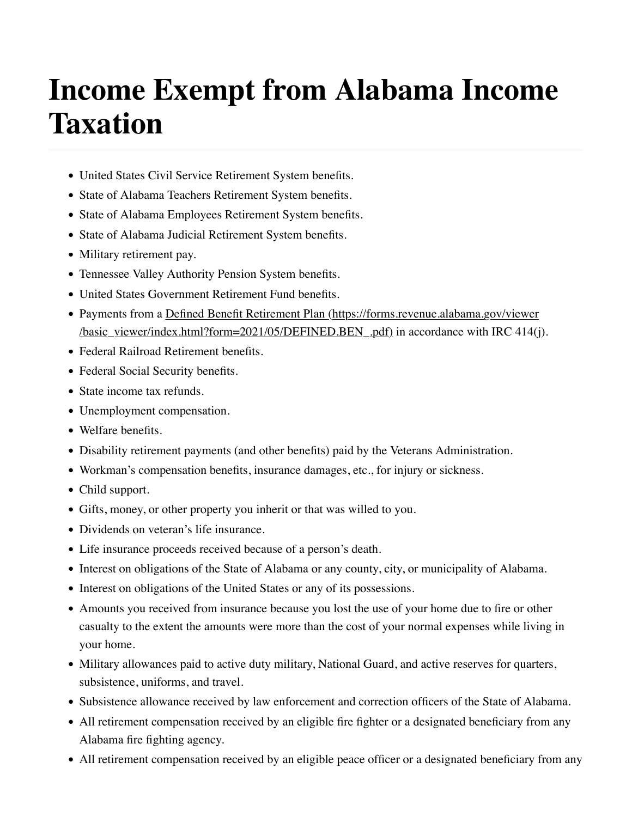## **Income Exempt from Alabama Income Taxation**

- United States Civil Service Retirement System benefits.
- State of Alabama Teachers Retirement System benefits.
- State of Alabama Employees Retirement System benefits.
- State of Alabama Judicial Retirement System benefits.
- Military retirement pay.
- Tennessee Valley Authority Pension System benefits.
- United States Government Retirement Fund benefits.
- Payments from a [Defined Benefit Retirement Plan \(https://forms.revenue.alabama.gov/viewer](https://forms.revenue.alabama.gov/viewer/basic_viewer/index.html?form=2021/05/DEFINED.BEN_.pdf)  $\frac{\text{basic}}{\text{visver/index.html}}$ ?form=2021/05/DEFINED.BEN\_.pdf) in accordance with IRC 414(j).
- Federal Railroad Retirement benefits.
- Federal Social Security benefits.
- State income tax refunds.
- Unemployment compensation.
- Welfare benefits.
- Disability retirement payments (and other benefits) paid by the Veterans Administration.
- Workman's compensation benefits, insurance damages, etc., for injury or sickness.
- Child support.
- Gifts, money, or other property you inherit or that was willed to you.
- Dividends on veteran's life insurance.
- Life insurance proceeds received because of a person's death.
- Interest on obligations of the State of Alabama or any county, city, or municipality of Alabama.
- Interest on obligations of the United States or any of its possessions.
- Amounts you received from insurance because you lost the use of your home due to fire or other casualty to the extent the amounts were more than the cost of your normal expenses while living in your home.
- Military allowances paid to active duty military, National Guard, and active reserves for quarters, subsistence, uniforms, and travel.
- Subsistence allowance received by law enforcement and correction officers of the State of Alabama.
- All retirement compensation received by an eligible fire fighter or a designated beneficiary from any Alabama fire fighting agency.
- All retirement compensation received by an eligible peace officer or a designated beneficiary from any